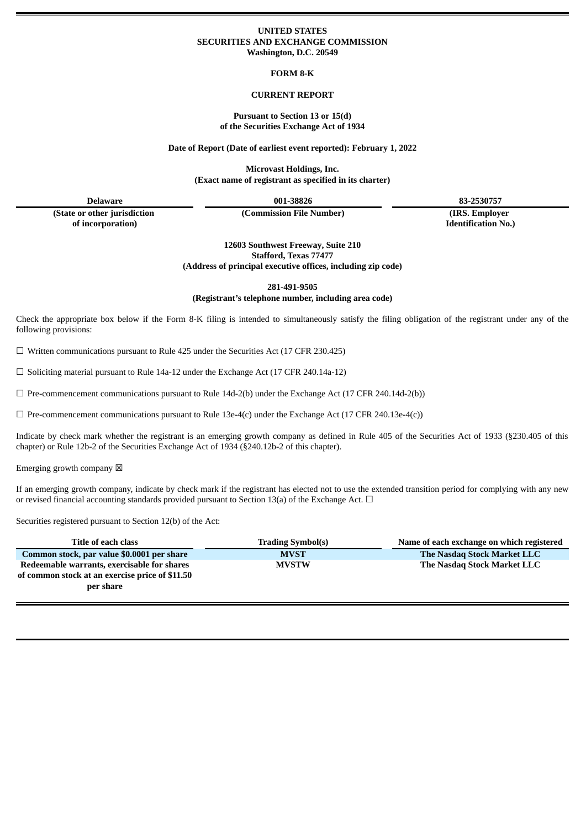### **UNITED STATES SECURITIES AND EXCHANGE COMMISSION Washington, D.C. 20549**

**FORM 8-K**

## **CURRENT REPORT**

#### **Pursuant to Section 13 or 15(d) of the Securities Exchange Act of 1934**

**Date of Report (Date of earliest event reported): February 1, 2022**

**Microvast Holdings, Inc. (Exact name of registrant as specified in its charter)**

**(State or other jurisdiction of incorporation)**

**(Commission File Number) (IRS. Employer**

**Delaware 001-38826 83-2530757**

**Identification No.)**

**12603 Southwest Freeway, Suite 210 Stafford, Texas 77477 (Address of principal executive offices, including zip code)**

**281-491-9505**

**(Registrant's telephone number, including area code)**

Check the appropriate box below if the Form 8-K filing is intended to simultaneously satisfy the filing obligation of the registrant under any of the following provisions:

 $\Box$  Written communications pursuant to Rule 425 under the Securities Act (17 CFR 230.425)

 $\Box$  Soliciting material pursuant to Rule 14a-12 under the Exchange Act (17 CFR 240.14a-12)

 $\Box$  Pre-commencement communications pursuant to Rule 14d-2(b) under the Exchange Act (17 CFR 240.14d-2(b))

 $\Box$  Pre-commencement communications pursuant to Rule 13e-4(c) under the Exchange Act (17 CFR 240.13e-4(c))

Indicate by check mark whether the registrant is an emerging growth company as defined in Rule 405 of the Securities Act of 1933 (§230.405 of this chapter) or Rule 12b-2 of the Securities Exchange Act of 1934 (§240.12b-2 of this chapter).

Emerging growth company  $\boxtimes$ 

If an emerging growth company, indicate by check mark if the registrant has elected not to use the extended transition period for complying with any new or revised financial accounting standards provided pursuant to Section 13(a) of the Exchange Act.  $\Box$ 

Securities registered pursuant to Section 12(b) of the Act:

| Title of each class                                                                                         | <b>Trading Symbol(s)</b> | Name of each exchange on which registered |
|-------------------------------------------------------------------------------------------------------------|--------------------------|-------------------------------------------|
| Common stock, par value \$0.0001 per share                                                                  | <b>MVST</b>              | The Nasdag Stock Market LLC               |
| Redeemable warrants, exercisable for shares<br>of common stock at an exercise price of \$11.50<br>per share | <b>MVSTW</b>             | The Nasdag Stock Market LLC               |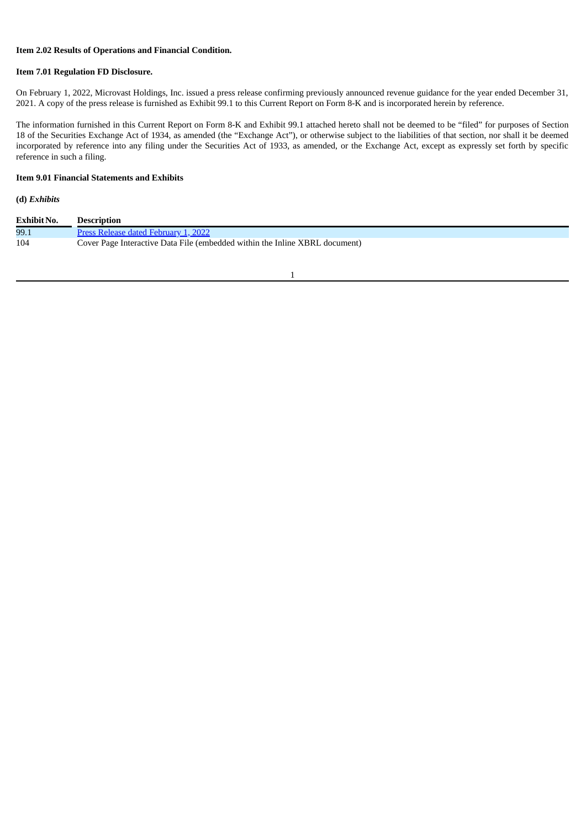## **Item 2.02 Results of Operations and Financial Condition.**

#### **Item 7.01 Regulation FD Disclosure.**

On February 1, 2022, Microvast Holdings, Inc. issued a press release confirming previously announced revenue guidance for the year ended December 31, 2021. A copy of the press release is furnished as Exhibit 99.1 to this Current Report on Form 8-K and is incorporated herein by reference.

The information furnished in this Current Report on Form 8-K and Exhibit 99.1 attached hereto shall not be deemed to be "filed" for purposes of Section 18 of the Securities Exchange Act of 1934, as amended (the "Exchange Act"), or otherwise subject to the liabilities of that section, nor shall it be deemed incorporated by reference into any filing under the Securities Act of 1933, as amended, or the Exchange Act, except as expressly set forth by specific reference in such a filing.

# **Item 9.01 Financial Statements and Exhibits**

**(d)** *Exhibits*

| Exhibit No. | <b>Description</b>                                                          |
|-------------|-----------------------------------------------------------------------------|
| 99.1        | Press Release dated February 1, 2022                                        |
| 104         | Cover Page Interactive Data File (embedded within the Inline XBRL document) |

1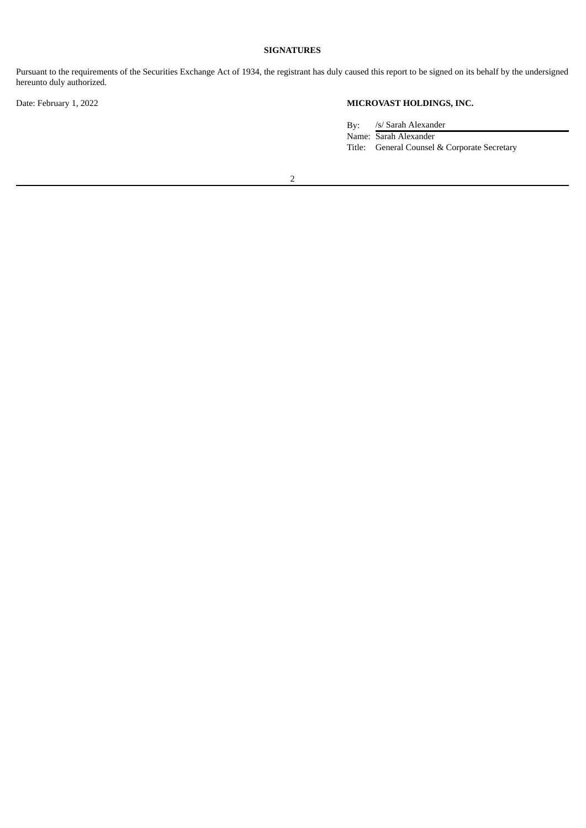# **SIGNATURES**

Pursuant to the requirements of the Securities Exchange Act of 1934, the registrant has duly caused this report to be signed on its behalf by the undersigned hereunto duly authorized.

# Date: February 1, 2022 **MICROVAST HOLDINGS, INC.**

By: /s/ Sarah Alexander Name: Sarah Alexander Title: General Counsel & Corporate Secretary

2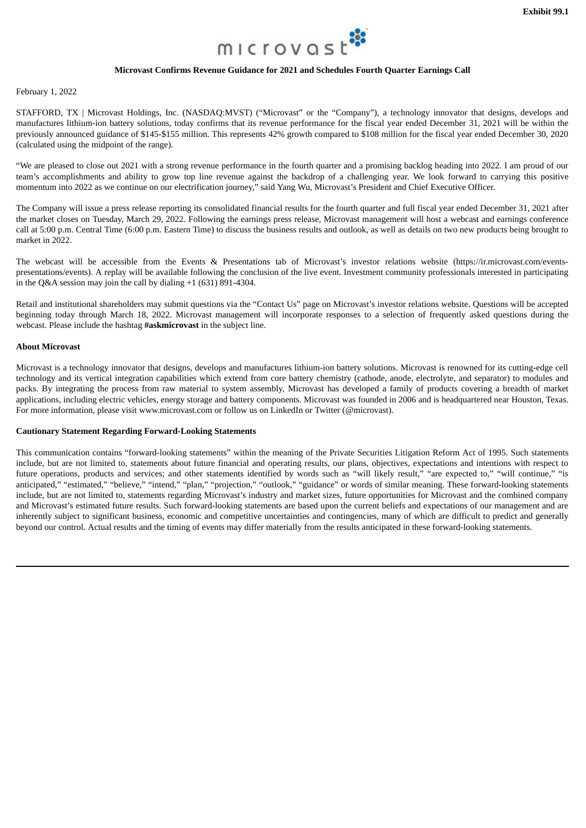

## **Microvast Confirms Revenue Guidance for 2021 and Schedules Fourth Quarter Earnings Call**

<span id="page-3-0"></span>February 1, 2022

STAFFORD, TX | Microvast Holdings, Inc. (NASDAQ:MVST) ("Microvast" or the "Company"), a technology innovator that designs, develops and manufactures lithium-ion battery solutions, today confirms that its revenue performance for the fiscal year ended December 31, 2021 will be within the previously announced guidance of \$145-\$155 million. This represents 42% growth compared to \$108 million for the fiscal year ended December 30, 2020 (calculated using the midpoint of the range).

"We are pleased to close out 2021 with a strong revenue performance in the fourth quarter and a promising backlog heading into 2022. I am proud of our team's accomplishments and ability to grow top line revenue against the backdrop of a challenging year. We look forward to carrying this positive momentum into 2022 as we continue on our electrification journey," said Yang Wu, Microvast's President and Chief Executive Officer.

The Company will issue a press release reporting its consolidated financial results for the fourth quarter and full fiscal year ended December 31, 2021 after the market closes on Tuesday, March 29, 2022. Following the earnings press release, Microvast management will host a webcast and earnings conference call at 5:00 p.m. Central Time (6:00 p.m. Eastern Time) to discuss the business results and outlook, as well as details on two new products being brought to market in 2022.

The webcast will be accessible from the Events & Presentations tab of Microvast's investor relations website (https://ir.microvast.com/eventspresentations/events). A replay will be available following the conclusion of the live event. Investment community professionals interested in participating in the Q&A session may join the call by dialing +1 (631) 891-4304.

Retail and institutional shareholders may submit questions via the "Contact Us" page on Microvast's investor relations website. Questions will be accepted beginning today through March 18, 2022. Microvast management will incorporate responses to a selection of frequently asked questions during the webcast. Please include the hashtag **#askmicrovast** in the subject line.

#### **About Microvast**

Microvast is a technology innovator that designs, develops and manufactures lithium-ion battery solutions. Microvast is renowned for its cutting-edge cell technology and its vertical integration capabilities which extend from core battery chemistry (cathode, anode, electrolyte, and separator) to modules and packs. By integrating the process from raw material to system assembly, Microvast has developed a family of products covering a breadth of market applications, including electric vehicles, energy storage and battery components. Microvast was founded in 2006 and is headquartered near Houston, Texas. For more information, please visit www.microvast.com or follow us on LinkedIn or Twitter (@microvast).

#### **Cautionary Statement Regarding Forward-Looking Statements**

This communication contains "forward-looking statements" within the meaning of the Private Securities Litigation Reform Act of 1995. Such statements include, but are not limited to, statements about future financial and operating results, our plans, objectives, expectations and intentions with respect to future operations, products and services; and other statements identified by words such as "will likely result," "are expected to," "will continue," "is anticipated," "estimated," "believe," "intend," "plan," "projection," "outlook," "guidance" or words of similar meaning. These forward-looking statements include, but are not limited to, statements regarding Microvast's industry and market sizes, future opportunities for Microvast and the combined company and Microvast's estimated future results. Such forward-looking statements are based upon the current beliefs and expectations of our management and are inherently subject to significant business, economic and competitive uncertainties and contingencies, many of which are difficult to predict and generally beyond our control. Actual results and the timing of events may differ materially from the results anticipated in these forward-looking statements.